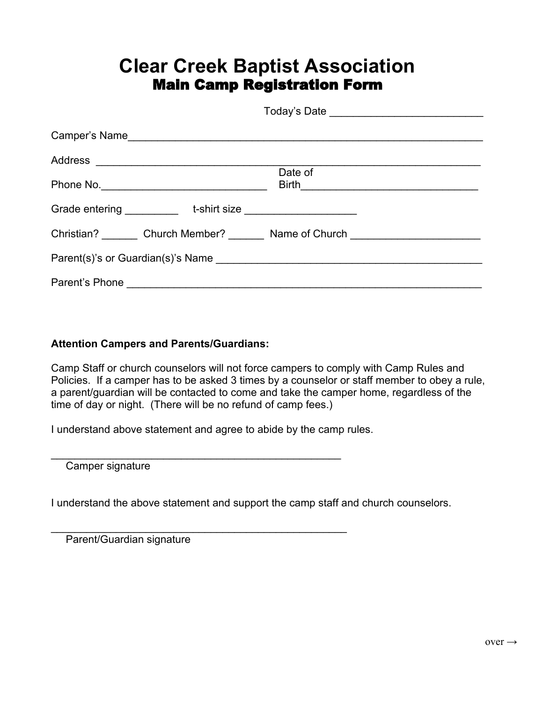## **Clear Creek Baptist Association** Main Camp Registration Form

|  | Date of                                                                                                         |  |
|--|-----------------------------------------------------------------------------------------------------------------|--|
|  |                                                                                                                 |  |
|  |                                                                                                                 |  |
|  | Christian? Church Member? Name of Church Christian? Christian? Church Church Church Church Church Church Church |  |
|  |                                                                                                                 |  |
|  |                                                                                                                 |  |

## **Attention Campers and Parents/Guardians:**

Camp Staff or church counselors will not force campers to comply with Camp Rules and Policies. If a camper has to be asked 3 times by a counselor or staff member to obey a rule, a parent/guardian will be contacted to come and take the camper home, regardless of the time of day or night. (There will be no refund of camp fees.)

I understand above statement and agree to abide by the camp rules.

Camper signature

I understand the above statement and support the camp staff and church counselors.

\_\_\_\_\_\_\_\_\_\_\_\_\_\_\_\_\_\_\_\_\_\_\_\_\_\_\_\_\_\_\_\_\_\_\_\_\_\_\_\_\_\_\_\_\_\_\_\_\_\_

\_\_\_\_\_\_\_\_\_\_\_\_\_\_\_\_\_\_\_\_\_\_\_\_\_\_\_\_\_\_\_\_\_\_\_\_\_\_\_\_\_\_\_\_\_\_\_\_\_

Parent/Guardian signature